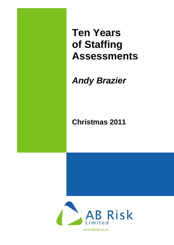**Ten Years of Staffing Assessments**

# *Andy Brazier*

# **Christmas 2011**

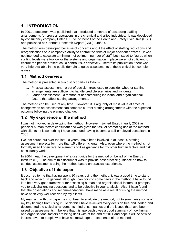# **1 INTRODUCTION**

In 2001 a document was published that introduced a method of assessing staffing arrangements for process operations in the chemical and allied industries. It was developed by consultancy company Entec UK Ltd. on behalf of the Health and Safety Executive (HSE) and published as Contract Research Report (CRR) 348/2001.

The method was developed because of concerns about the effect of staffing reductions and reorganisations on a company's ability to control the risks of major accident hazards. It was not intended to calculate a minimum of optimum number of staff, but instead to flag up when staffing levels were too low or the systems and organisation in place were not sufficient to ensure the people present could control risks effectively. Before its publication, there was very little available in the public domain to guide assessments of these critical but complex issues.

## **1.1 Method overview**

The method is presented in two distinct parts as follows:

- 1. Physical assessment a set of decision trees used to consider whether staffing arrangements are sufficient to handle credible scenarios and incidents;
- 2. Ladder assessment a method of benchmarking individual and organisational factors that affect staffing arrangements.

The method can be used at any time. However, it is arguably of most value at times of change when an assessment can compare current staffing arrangements with the expected outcome following the planned change.

## **1.2 My experience of the method**

I was not involved in developing the method. However, I joined Entec in early 2002 as principal human factors consultant and was given the task of promoting use of the method with clients. It is something I have continued having become a self-employed consultant in 2005.

I've lost count, but over the last 10 years I have been involved in at least 30 staffing assessment projects for more than 15 different clients. Also, even where the method is not formally used I often refer to elements of it as guidance for my other human factors and risk consultancy work.

In 2004 I lead the development of a user guide for the method on behalf of the Energy Institute (EI). The aim of this document was to provide best practice guidance on how to conduct assessments using the method based on practical experience.

# **1.3 Objective of this paper**

It occurred to me that having spent 10 years using the method, it was a good time to stand back and reflect. In general, although I can point to some flaws in the method, I have found it to be a very good framework for assessing human and organisational factors. It prompts you to ask challenging questions and to be objective in your analysis. Also, I have found that the observations and recommendations I have made as a result of using the method have been very well received by my clients.

My main aim with this paper has not been to evaluate the method, but to summarise some of my key findings from using it. To do this I have reviewed every decision tree and ladder; and documented the typical arrangements I find at companies and the issues that have been raised by assessments. I believe that this approach gives a good summary of how human and organisational factors are being dealt with at the end of 2011 and hope it will be of wide interest, even to people who have no knowledge or experience of the method.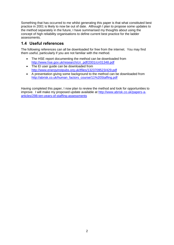Something that has occurred to me whilst generating this paper is that what constituted best practice in 2001 is likely to now be out of date. Although I plan to propose some updates to the method separately in the future, I have summarised my thoughts about using the concept of high reliability organisations to define current best practice for the ladder assessments.

# **1.4 Useful references**

The following references can all be downloaded for free from the internet. You may find them useful, particularly if you are not familiar with the method.

- The HSE report documenting the method can be downloaded from [http://www.hse.gov.uk/research/crr\\_pdf/2001/crr01348.pdf](http://www.hse.gov.uk/research/crr_pdf/2001/crr01348.pdf)
- The EI user guide can be downloaded from <http://www.energyinstpubs.org.uk/tfiles/1323709523/429.pdf>
- A presentation giving some background to the method can be downloaded from [http://abrisk.co.uk/human\\_factors\\_course/11%20Staffing.pdf](http://abrisk.co.uk/human_factors_course/11%20Staffing.pdf)

Having completed this paper, I now plan to review the method and look for opportunities to improve. I will make my proposed update available at [http://www.abrisk.co.uk/papers-a](http://www.abrisk.co.uk/papers-a-articles/298-ten-years-of-staffing-assessments)[articles/298-ten-years-of-staffing-assessments](http://www.abrisk.co.uk/papers-a-articles/298-ten-years-of-staffing-assessments)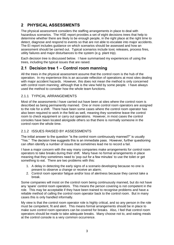# **2 PHYSICAL ASSESSMENTS**

The physical assessment considers the staffing arrangements in place to deal with hazardous scenarios. The HSE report provides a set of eight decisions trees that help to determine whether there are likely to be enough people, in the right place at the right time to detect, diagnose and respond to events so that are not able to escalate into major accidents. The EI report includes guidance on which scenarios should be assessed and how an assessment should be carried out. Typical scenarios include toxic releases, process fires, utility failures and major disturbances to the system (e.g. plant trip).

Each decision tree is discussed below. I have summarised my experiences of using the trees, including the typical issues that are raised.

## **2.1 Decision tree 1 – Control room manning**

All the trees in the physical assessment assume that the control room is the hub of the operation. In my experience this is an accurate reflection of operations at most sites dealing with major accident hazards. However, this does not mean the method is only concerned with control room manning; although that is the view held by some people. I have always used the method to consider how the whole team functions.

## 2.1.1 TYPICAL ARRANGEMENTS

Most of the assessments I have carried out have been at sites where the control room is described as being permanently manned. One or more control room operators are assigned to the role for a shift. There have been some cases where the control room operator has also been required to work in the field as well, meaning they sometime leave the control room to check equipment or carry out operations. However, in most cases the control consoles have been located alongside others so that there is normally someone in the control room the whole time.

## 2.1.2 ISSUES RAISED BY ASSESSMENTS

The initial answer to the question "is the control room continuously manned?" is usually "Yes." The decision tree suggests this is an immediate pass. However, further questioning can often identify a number of issues that sometimes lead me to record a fail.

I have a major concern with the way many companies make arrangements for control room operators to take breaks during their shift. Many have no formal arrangements in place meaning that they sometimes need to 'pop out for a few minutes' to use the toilet or get something to eat. There are two problems with this:

- 1. A delay in detecting the early signs of a scenario developing because no one is present to observe a change or receive an alarm;
- 2. Control room operator fatigue and/or loss of alertness because they cannot take a break.

Some companies will insist on the control room being continuously manned, but do not have any 'spare' control room operators. This means the person covering is not competent in the role. This may be acceptable if they have been trained to recognise problems and have a reliable method of calling the control room operator back to the control room. But in many cases this is only handled informally.

My view is that the control room operator role is highly critical, and so any person in the role must be competent, fit and alert. This means formal arrangements should be in place to make sure control room operators can be covered for breaks. Also, I feel that control room operators should be made to take adequate breaks. Many choose not to, and eating meals at the control console is a very common occurrence.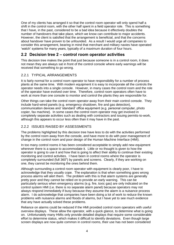One of my clients has arranged it so that the control room operator will only spend half a shift in the control room, with the other half spent in a field operator role. This is something that I have, in the past, considered to be a bad idea because it effectively doubles the number of handovers that take place, which we know can contribute to major accidents. However, the client is satisfied that the arrangement is beneficial, and that the concerns about handover have proven to be unfounded. As a result I would urge all companies to consider this arrangement, bearing in mind that merchant and military navies have operated 'watch' systems for many years, typically of a maximum duration of four hours.

## **2.2 Decision tree 2 – control room operator activities**

This decision tree makes the point that just because someone is in a control room, it does not mean they are always sat in front of the control console where early warnings will be received that something to go wrong.

## 2.2.1 TYPICAL ARRANGEMENTS

It is fairly normal for a control room operator to have responsibility for a number of process plants at the same time. With modern equipment it is easy to incorporate all the controls the operator needs into a single console. However, in many cases the control room and the role of the operator have evolved over time. Therefore, control room operators often have to work at more than one console to monitor and control the plants they are responsible for.

Other things can take the control room operator away from their main control console. They include hard-wired panels (e.g. emergency shutdown, fire and gas detection), communication devices and 'standard' office equipment (e.g. personal computer, photo copier, fax machine). In some cases the control room operator may get involved in completely separate activities such as dealing with contractors and issuing permits-to-work, although this appears to occur less often than it may have in the past.

## 2.2.2 ISSUES RAISED BY ASSESSMENTS

The problems highlighted by this decision tree have less to do with the activities performed by the control room away from the console, and have more to do with poor management of change in the control room and poor design of the Human Machine Interface (HMI).

In too many control rooms it has been considered acceptable to simply add new equipment wherever there is a space to accommodate it. Little or no thought is given to how the operator is going to use it and how that is going to affect their ability to continue their existing monitoring and control activities. I have been in control rooms where the operator is completely surrounded (full 360°) by panels and screens. Clearly, if they are working on one, they cannot be monitoring the ones behind them.

Although surrounding a control room operator with equipment is clearly poor, I have to acknowledge that they usually cope. The explanation is that when something goes wrong process alarms will alert them. The problem with this is that alarm systems are generally pretty poor and they cannot be relied on to provide an early warning. This can be particularly serious when emergency alarms (e.g. fire, toxic gas) are only indicated on the control system HMI (i.e. there is no separate alarm panel) because operators may not always respond immediately if busy because they assume the alarm is a nuisance process alarm. I do acknowledge that companies have been doing a lot of work to reduce the known problems with nuisance alarms and floods of alarms, but I have yet to see much evidence that any have actually solved these problems.

Reliance on alarms could be reduced if the HMI provided control room operators with useful overview displays. These allow the operator, with a quick glance, to determine what is going on. Unfortunately many HMIs only provide detailed displays that require some considerable effort to determine status, which makes it difficult to identify deviations. Even though large screen displays are now quite common in control rooms, their use has not been considered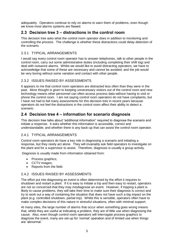adequately. Operators continue to rely on alarms to warn them of problems, even though we know most alarms systems are flawed.

## **2.3 Decision tree 3 – distractions in the control room**

This decision tree asks what the control room operator does in addition to monitoring and controlling the process. The challenge is whether these distractions could delay detection of the scenario.

## 2.3.1 TYPICAL ARRANGEMENTS

I would say every control room operator has to answer telephones, talk to other people in the control room, carry out some administrative duties (including completing their shift log) and deal with nuisance alarms. Whilst we would like to avoid distracting operators, we have to acknowledge that some of these are necessary and cannot be avoided; and the job would be very boring without some variation and contact with other people.

## 2.3.2 ISSUES RAISED BY ASSESSMENTS

It appears to me that control room operators are distracted less often than they were in the past. More thought is given to keeping unnecessary visitors out of the control room and new technology means other personnel can often access process data without having to visit or phone the control room. I am not saying control room operators do not have complaints, but I have not had to fail many assessments for this decision tree in recent years because operators do not feel the distractions in the control room affect their ability to detect a scenario.

## **2.4 Decision tree 4 – information for scenario diagnosis**

This decision tree talks about "additional information" required to diagnose the scenario and initiate a response. It asks whether this information is accessible, correct and understandable; and whether there is any back-up that can assist the control room operator.

## 2.4.1 TYPICAL ARRANGEMENTS

Control room operators do have a key role in diagnosing a scenario and initiating a response, but they rarely act alone. They will invariably ask field operators to investigate on the plant and for a supervisor to assist. Therefore, diagnosis is usually a group activity.

Diagnosis is usually made from information obtained from:

- Process graphics;
- CCTV images;
- Reports from the field.

## 2.4.2 ISSUES RAISED BY ASSESSMENTS

The effort put into diagnosing an event is often determined by the effort it requires to shutdown and restart a plant. If it is easy to initiate a trip and then easy to restart, operators are not so concerned that they may misdiagnose an event. However, if tripping a plant is likely to cause problems, they will take their time to make sure their diagnosis is correct and try to work out a way of containing the situation that does not have such a big impact on the plant (e.g. controlled shutdown, partial trip). Whilst this is sensible, operators often have to make complex decisions of this nature in stressful situations, often with minimal support.

At many sites, the large number of alarms that occur when something goes wrong means that, whilst they are useful at indicating a problem, they are of little use when diagnosing the cause. Also, even though control room operators will interrogate process graphics to diagnose the event, many are set-up for 'normal' operation and of limited use when things are 'abnormal.'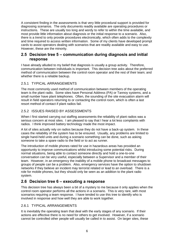A consistent finding in the assessments is that very little procedural support is provided for diagnosing scenarios. The only documents readily available are operating procedures or instructions. These are usually too long and wordy to refer to within the time available, and most provide little information about diagnosis or the initial response to a scenario. Also, there is a trend to only provide procedures electronically, which often adds to the complexity and time required to access written information. Some of my clients have developed prompt cards to assist operators dealing with scenarios that are readily available and easy to use. However, these are the minority.

## **2.5 Decision tree 5 – communication during diagnosis and initial response**

I have already alluded to my belief that diagnosis is usually a group activity. Therefore, communication between individuals is important. This decision tree asks about the preferred method of communication between the control room operator and the rest of their team; and whether there is a reliable backup.

## 2.5.1 TYPICAL ARRANGEMENTS

The most commonly used method of communication between members of the operating team is the plant radio. Some sites have Personal Address (PA) or Tannoy systems, and a small number have plant telephones. Often, the sounding of the site evacuation alarm will result in field operators returning to or contacting the control room, which is often a last resort method of contact if plant radios fail.

#### 2.5.2 ISSUES RAISED BY ASSESSMENTS

When I first started carrying out staffing assessments the reliability of plant radios was a serious concern at most sites. I am pleased to say that I hear a lot less complaints with radios. I think improved battery technology made the most impact.

A lot of sites actually rely on radios because they do not have a back-up system. In these cases the reliability of the system has to be ensured. Usually, any problems are limited to single hand-held units and during a scenario something can be done, such as asking someone to take a spare radio to the field or to act as runner.

The introduction of mobile phones rated for use in hazardous areas has provided an opportunity to improve communications whilst introducing some potential risks. During normal situations, being able to contact someone directly and hold a one-to-one conversation can be very useful, especially between a Supervisor and a member of their team. However, in an emergency the inability of a mobile phone to broadcast messages to groups of people can be a problem. Also, emergency services have the option to shutdown networks if they believe an incident may terrorist related or lead to an overload. There is a role for mobile phones, but they should only be seen as an addition to the plant radio system.

## **2.6 Decision tree 6 – executing a response**

This decision tree has always been a bit of a mystery to me because it only applies when the control room operator performs all the actions in a scenario. This is very rare, with most scenarios requiring a team response. I have tended to use this tree to identify who is involved in response and how well they are able to work together.

#### 2.6.1 TYPICAL ARRANGEMENTS

It is inevitably the operating team that deal with the early stages of any scenario. If their actions are effective there is no need for others to get involved. However, if a scenario cannot be controlled other people will usually be called in to assist. On larger sites, these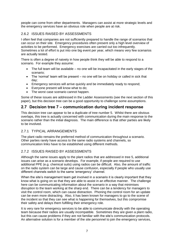people can come from other departments. Managers can assist at more strategic levels and the emergency services have an obvious role when people are at risk.

## 2.6.2 ISSUES RAISED BY ASSESSMENTS

I often feel that companies are not sufficiently prepared to handle the range of scenarios that can occur on their site. Emergency procedures often present only a high level overview of activities to be performed. Emergency exercises are carried out too infrequently. Sometimes a lot of effort is put into one big event per year, which means very few scenarios are actually tested.

There is often a degree of naivety in how people think they will be able to respond to a scenario. For example they assume:

- The full team will be available no one will be incapacitated in the early stages of the scenario;
- The 'normal' team will be present no one will be on holiday or called in sick that day;
- Emergency services will arrive quickly and be immediately ready to respond;
- Everyone present will know what to do;
- The worst case scenario cannot happen.

Some of these issues are addressed in the Ladder Assessments (see the next section of this paper), but this decision tree can be a good opportunity to challenge some assumptions.

## **2.7 Decision tree 7 – communication during incident response**

This decision tree can appear to be a duplicate of tree number 5. Whilst there are obvious overlaps, this tree is actually concerned with communication during the main response to the scenario rather than the initial diagnosis. The main difference is that other parties are likely to be involved.

## 2.7.1 TYPICAL ARRANGEMENTS

The plant radio remains the preferred method of communication throughout a scenario. Other parties rarely have access to the same radio systems and channels, so communication links have to be established using different methods.

## 2.7.2 ISSUES RAISED BY ASSESSMENTS

Although the same issues apply to the plant radios that are addressed in tree 5, additional issues can arise as a scenario develops. For example, if people are required to use additional PPE (e.g. chemical suits) using radios can be difficult. Also, the amount of traffic on the radio system can be large and cause confusion, especially if people who usually use different channels switch to the same 'emergency' channel.

When the site's management team get involved in a scenario it is clearly important that they know what is going on so that they are able to assist in an effective manner. The challenge here can be communicating information about the scenario in a way that minimises disruption to the team working at the sharp end. There can be a tendency for managers to visit the control room, which can cause distraction. Phoning the control room for an update can be even more distracting. Also, it has been known for managers to go to the scene of the incident so that they can see what is happening for themselves, but this compromise their safety and delays them fulfilling their emergency role.

It is very rare for emergency services to be able to communicate directly with the operating team because their radios are usually incompatible. Sometimes they are given a plant radio, but this can cause problems if they are not familiar with the site's communication protocols. An alternative solution is for a member of the site personnel to join the emergency services,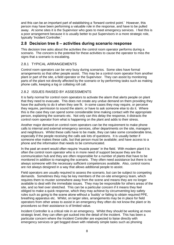and this can be an important part of establishing a 'forward control point.' However, this person may have been performing a valuable role in the response, and have to be pulled away. At some sites it is the Supervisor who goes to meet emergency services. I feel this is a poor arrangement because it is usually better to put Supervisors in a more strategic role, typically 'Incident Controller.'

## **2.8 Decision tree 8 – activities during scenario response**

This decision tree asks about the activities the control room operator performs during a scenario. The concern is the potential for these activities to cause the operator to miss the signs that a scenario is escalating.

## 2.8.1 TYPICAL ARRANGEMENTS

Control room operators can be very busy during scenarios. Some sites have formal arrangements so that other people assist. This may be a control room operator from another plant or part of the site, a field operator or the Supervisor. They can assist by monitoring parts of the plant not directly affected by the scenario or by performing tasks such as making phone calls, keeping a log or collating roll call.

## 2.8.2 ISSUES RAISED BY ASSESSMENTS

It is fairly normal for control room operators to activate the alarm that alerts people on plant that they need to evacuate. This does not create any undue demand on them providing they have the authority to do it when they see fit. In some cases they may require, or perceive they require, permission to sound the alarm; or have to ask someone else to do it. Where this is the case they can spend some considerable time making contact with the appropriate person, explaining the scenario etc. Not only can this delay the response, it distracts the control room operator from what is happening on the plant and adds to their stress.

Another major demand on control room operators can be the requirement to make phone calls to internal and external emergency services, other departments on the site, managers and neighbours. Whilst these calls have to be made, they can take some considerable time, especially if the people receiving the calls ask lots of questions. It is usually better if someone else makes these calls, but that person must be available; and have access to a phone and the information that needs to be communicated.

In the past an event would often require 'muscle power' in the field. With modern plant it is often the control room operator who is in more need of support because they are the communication hub and they are often responsible for a number of plants that have to be monitored in addition to managing the scenario. They often need assistance but there is not always someone with the necessary sufficient competences available. Also, control rooms are not always designed in a way that allows additional people to assist.

Field operators are usually required to assess the scenario, but can be subject to competing demands. Sometimes they may be key members of the on-site emergency team, which requires them to muster somewhere away from the scene and means they are no longer available to deal with the immediate issues. They may be responsible for others areas of the site, and so feel over stretched. This can be a particular concern if it means they feel obliged to make a quick response, which they may achieve by circumventing key safety rules such as going to the scene alone without a 'buddy' or failing to obtain required PPE, breathing apparatus etc. Whilst, on larger sites, arrangements may be in place for field operators from other areas to assist in an emergency they often do not know the plant or its procedures so their assistance is of limited value.

Incident Controller is a critical role in an emergency. Whilst they should be working at more strategic level, they can often get sucked into the detail of the incident. This has been a particular concern where the Incident Controller are expected to liaise directly with emergency services or get bogged down with relatively simple tasks such as phoning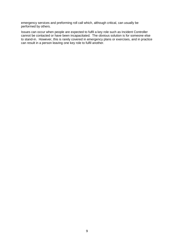emergency services and preforming roll call which, although critical, can usually be performed by others.

Issues can occur when people are expected to fulfil a key role such as Incident Controller cannot be contacted or have been incapacitated. The obvious solution is for someone else to stand-in. However, this is rarely covered in emergency plans or exercises, and in practice can result in a person leaving one key role to fulfil another.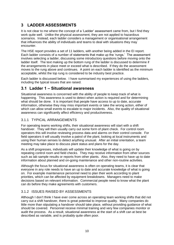# **3 LADDER ASSESSMENTS**

It is not clear to me where the concept of a 'Ladder' assessment came from, but I find they work quite well. Unlike the physical assessment, they are not applied to hazardous scenarios. Instead, each ladder considers a management or organisational arrangement that influences the ability of individuals and teams to deal with situations they may encounter.

The HSE report provides a set of 11 ladders, with another being added in the EI report. Each ladder consists of a number of statements that make up the 'rungs.' The assessment involves selecting a ladder, discussing some introductory questions before moving onto the ladder itself. The text making up the bottom rung of the ladder is discussed to determine if the arrangements in place meet or exceed what is described. If they do the assessment moves to the rung above and continues. A point on each ladder is identified as the minimum acceptable, whilst the top rung is considered to be industry best practice.

Each ladder is discussed below. I have summarised my experiences of using the ladders, including the typical issues that are raised.

# **3.1 Ladder 1 – Situational awareness**

Situational awareness is concerned with the ability of people to keep track of what is happening. This awareness is used to detect when action is required and for determining what should be done. It is important that people have access to up to date, accurate information, otherwise they may miss important events or take the wrong action, either of which can allow small events to escalate to major incidents. Also, the quality of situational awareness can significantly affect efficiency and productiveness.

## 3.1.1 TYPICAL ARRANGEMENTS

For operating teams working shifts, their situational awareness will start with a shift handover. They will then usually carry out some form of plant check. For control room operators this will involve reviewing process data and alarms on their control console. For field operators it will usually involve a patrol of the plant, looking at local instruments and using their human senses to detect anything unusual. After an initial orientation, a team meeting may take place to discuss plant status and plans for the day.

As a shift progresses, individuals will update their knowledge of what is going on by repeating control room and field checks. They may receive information from other sources such as lab sample results or reports from other plants. Also, they need to have up to date information about planned and on-going maintenance and other non-routine activities.

Although the focus for situational awareness is often on operating teams, it is clear that everyone in any role needs to have an up to date and accurate knowledge of what is going on. For example maintenance personnel need to plan their work according to plant priorities, which can be affected by equipment breakdowns. Managers need to make decisions based on relevant information. Commercial people need to know what the plant can do before they make agreements with customers.

## 3.1.2 ISSUES RAISED BY ASSESSMENTS

Although I don't think I have ever come across an operating team working shifts that did not carry out a shift handover, there is great potential to improve quality. Many companies do little more than stipulating a handover should take place, without providing guidance of what should be covered. Personnel receive minimal training and very few companies monitor or audit the process. As a result, situational awareness at the start of a shift can at best be described as variable, and is probably quite often poor.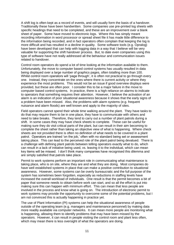A shift log is often kept as a record of events, and will usually form the basis of a handover. Traditionally these have been handwritten. Some companies use pre-printed log sheets with specific headings that need to be completed, and these are an improvement over a blank sheet of paper. Some have moved to electronic logs. Where this has simply meant recording information in word processor or spread sheet file it has made little difference to the information being recorded, and in fact operators often complain that keeping the log is more difficult and has resulted in a decline in quality. Some software tools (e.g. Opralog) have been developed that can help with logging data in a way that I believe will be very valuable for supporting the shift handover process. But, to date even companies using this type of software have not really addressed all the behaviour and communication issues related to handover.

Control room operators do spend a lot of time looking at the information available to them. Unfortunately, the move to computer based control systems has usually resulted in data being displayed over a large number of graphics pages, often totalling more than 100. Whilst control room operators will 'page through', it is often not practical to go through every one. Instead, they concentrate on the ones where there is current activity or where they experience the most problems. This would not be an issue if good overview displays were provided, but these are often poor. I consider this to be a major failure in the move to computer based control systems. In practice, there is a high reliance on alarms to indicate to operators that something requires their attention. However, I believe the activation of an alarm is an indication of poor situational awareness because it shows that the early signs of a problem have been missed. Also, the problems with alarm systems (e.g. frequent nuisance and alarm floods) are well known and apply to the majority of sites.

Field operators cannot spend their whole time walking around the plant. They have tasks to do that may require them to be in one place, they have to communicate with others and need to take breaks. Therefore, they tend to carry out a number of plant patrols during a shift. In some cases they may have check sheets to complete. These can be useful for making sure they do visit critical parts of the plant, but can result in their aim becoming to complete the sheet rather than taking an objective view of what is happening. Where check sheets are not provided there is often no definition of what needs to be covered in a plant patrol. Operators are trained 'on the job,' often with no standard being set or assessment taking place. This can lead to the perceived role of the plant patrol being devalued. There is a challenge with defining plant patrols between telling operators exactly what to do, which can result in a lack of initiative being used, vs. leaving it to the individual, which can mean key items will be missed. I don't think many companies have recognised this dilemma and are simply satisfied that patrols take place.

Permit to work systems perform an important role in communicating what maintenance is taking place, who is on site, where they are and what they are doing. Most companies do have well established systems in place that can make a positive contribution to situational awareness. However, some systems can be overly bureaucratic and the full purpose of the system has sometimes been forgotten, especially as reductions in staffing levels have increased the overall workload of individuals. One result is that the permit becomes a bit of paper that someone needs to obtain before work can start, and so all the effort is put into making sure this can happen with minimum effort. This can mean that less people are involved in the process and know what is going on. The introduction of electronic permit to work systems may provide the opportunity to overcome some of the potential problems, but I am not convinced this is actually happening in practice yet.

The use of Plant Information (PI) systems can help the situational awareness of people outside of the operating team (e.g. managers and maintenance personnel) by making data more readily available via computer networks. It can mean more people are monitoring what is happening, allowing them to identify problems that may have been missed by the operators. However, it can result in people visiting the control room and plant less often, which may mean there is less oversight of what the operators are doing.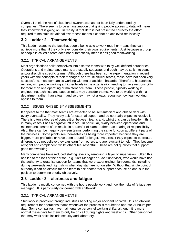Overall, I think the role of situational awareness has not been fully understood by companies. There seems to be an assumption that giving people access to data will mean they know what is going on. In reality, if that data is not presented correctly the effort required to maintain situational awareness means it cannot be achieved realistically.

# **3.2 Ladder 2 – Teamworking**

This ladder relates to the fact that people being able to work together means they can achieve more than if they only ever consider their own requirements. Just because a group of people is called a team does not automatically mean it has good teamworking.

## 3.2.1 TYPICAL ARRANGEMENTS

Most organisations split themselves into discrete teams with fairly well defined boundaries. Operations and maintenance teams are usually separate, and each may be split into plant and/or discipline specific teams. Although there has been some experimentation in recent years with the concepts of 'self-managed' and 'multi-skilled' teams, these have not been very successful at most companies working with major accident hazards. Therefore, hierarchies remain, with people working at higher levels in the organisation tending to have responsibility for more than one operating or maintenance team. These people, typically working in engineering, technical and support roles may consider themselves to be working within a department rather than a team; and so they may not always recognise how teamworking applies to them.

## 3.2.2 ISSUES RAISED BY ASSESSMENTS

It appears to me that most teams are expected to be self-sufficient and able to deal with every eventuality. They rarely ask for external support and do not really expect to receive it. There is often a degree of competition between teams and, whilst this can be healthy, I think in many cases it has a negative influence. In particular, rivalry between operations and maintenance teams often results in a transfer of blame rather than sharing of responsibility. Also, there can be inequity between teams performing the same function at different parts of the business. Some plants see themselves as being more important because they are bigger, more profitable or have been around for longer. As a result they expect to be treated differently, do not believe they can learn from others and are reluctant to help. They become arrogant and complacent; whilst others feel resentful. These are not qualities that support good teamworking.

Many companies have reduced staffing levels by removing a layer of supervision. Often this has led to the loss of the person (e.g. Shift Manager or Site Supervisor) who would have had the authority to organise support for teams that were experiencing high demands, including during weekends and night shifts when day staff are not on site. Without that single point of authority it can be difficult for one team to ask another for support because no one is in the position to determine priority objectively.

# **3.3 Ladder 3 – alertness and fatigue**

This ladder is mostly concerned with the hours people work and how the risks of fatigue are managed. It is particularly concerned with shift-work.

## 3.3.1 TYPICAL ARRANGEMENTS

Shift-work is prevalent through industries handling major accident hazards. It is an obvious requirement for operations teams whenever the process is required to operate 24 hours per day. Some companies have maintenance personnel working shifts, although it is more normal these days for them to only be on call during nights and weekends. Other personnel that may work shifts include security and laboratory.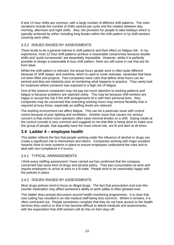8 and 12 hour shifts are common, with a large number of different shift patterns. The main variations include the number of shifts worked per cycle and the rotation between day, morning, afternoon and night shifts. Also, the provision for people to take holidays which is typically achieved by either including long breaks within the shift pattern or by shift-workers covering each other.

## 3.3.2 ISSUES RAISED BY ASSESSMENTS

There tends to be a general interest in shift patterns and their effect on fatigue risk. In my experience, most 12 hour shift patterns achieve a reasonable compromise because double shifts and 'quick turnarounds' are essentially impossible. However, whilst it is perfectly possible to design a reasonable 8-hour shift pattern, there are still some in use that are far from ideal.

Whilst the shift pattern is relevant, the actual hours people work is often quite different because of 'shift swaps' and overtime, which is used to cover sickness, vacancies that have not been filled and projects. Few companies have rules that define what hours can be worked and they are relatively poor at monitoring what happens in practice. They rarely look for instances where someone was exposed to a high risk of fatigue.

One of the reasons companies may not pay too much attention to working patterns and fatigue is because problems are reported rarely. This may be because shift-workers are happy to accept the risk if the shift arrangements fit in with their personal lives. Also, companies may be concerned that restricting working hours may remove flexibility that is required at busy times, especially as staffing levels are reduced.

The working environment can affect fatigue. This can be a particular issue with control rooms because of poor lighting and ventilation. Another issue that causes me serious concern is that control room operators often have minimal breaks on a shift. Eating meals at the control console is very common and suggests to me that little is being done to make sure this group of people, that arguably have the most critical role, are fit and alert at all times.

## **3.4 Ladder 4 – employee health**

This ladder reflects the fact that people working under the influence of alcohol or drugs can create a significant risk to themselves and others. Companies working with major accident hazards have to have systems in place to ensure employees understand the rules and to deal with non-compliance it if occurs.

## 3.4.1 TYPICAL ARRANGEMENTS

I think every staffing assessment I have carried out has confirmed that the company concerned had some form of drugs and alcohol policy. They ban consumption at work and require employees to arrive at work in a fit state. People tend to be reasonably happy with the policies in place.

## 3.4.2 ISSUES RAISED BY ASSESSMENTS

Most drugs policies tend to focus on illegal drugs. The fact that prescription and over-thecounter medication may affect someone's ability to work safely is often glossed over.

This ladder does prompt discussion around health monitoring programmes. It is clear that cost cutting has resulted in on-site medical staff being less common. Where it remains, it is often contracted out. People sometimes complain that they do not have access to the health services they used to or that it has become difficult to attend medicals and assessments; with the expectation that shift workers will do this on their days off.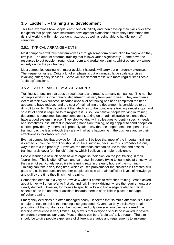## **3.5 Ladder 5 – training and development**

This tree examines how people learn their job initially and then develop their skills over time. It expects that people have structured development plans that ensure they understand the risks of working with major accident hazards, as well as being able to handle 'normal' situations.

## 3.5.1 TYPICAL ARRANGEMENTS

Most companies will take new employees through some form of induction training when they first join. The amount of formal training that follows varies significantly. Some have the resources to put people through class room and workshop training, whilst others rely almost entirely on 'on the job' training.

Most companies dealing with major accident hazards will carry out emergency exercises. The frequency varies. Quite a lot of emphasis is put on annual, large scale exercises involving emergency services. Some will supplement these with more regular small scale 'table top' sessions.

## 3.5.2 ISSUES RAISED BY ASSESSMENTS

Training is a function that goes through peaks and troughs at many companies. The number of people working in the 'training department' will vary from year to year. They are often a victim of their own success, because once a lot of training has been completed the need appears to have reduced and the cost of maintaining the department is considered to be difficult to justify. The department then declines to the point where training almost stops, and so a lot of effort is required to reinvigorate it. Also, I do believe people working in training departments sometimes become complacent, taking on an administrative role once they have a good system in place. They stop working with colleagues to identify specific needs and sometimes lose interest in providing hands-on training, being happier to send people on courses provided by others. It is probably fair to say that the longer someone spends in a training role, the less in-touch they are with what is happening in the business and so their effectiveness inevitably reduces.

Even at companies that provide formal training, I believe that most of the important training is carried out 'on the job.' This should not be a surprise, because this is probably the only way to learn a job properly. However, the methods companies use to plan and assess training rarely cover 'on the job' training, which I believe is a major deficiency.

People learning a new job often have to organise their own 'on the job' training in their 'spare' time. This is often difficult, and can result in people trying to learn jobs at times when they are not particularly receptive to learning (e.g. in the early hours of the morning). Training can take a very long time, which causes problems for the business if it creates skill gaps and calls into question whether people are able to retain sufficient levels of knowledge and skill by the time they finish their training.

Companies often take a very narrow view when it comes to refresher training. When asked about it they will often refer to first-aid and fork-lift-truck driving; where the requirements are clearly defined. However, for more site specific skills and knowledge related to critical aspects of the job and major accident hazards there is often little in place to manage refresher training.

Emergency exercises are often managed poorly. It seems that so much attention is put onto a major annual exercise that nothing else gets done. Given that only a relatively small proportion of the workforce can be involved and only one scenario can be covered; the learning experience is very limited. My view is that everyone should be involved in several emergency exercises per year. Most of these can be a 'table top' talk through. The aim should be to give people experience of different scenarios and requirements to implement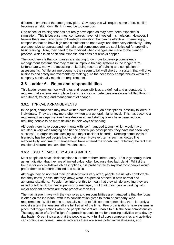different elements of the emergency plan. Obviously this will require some effort, but if it becomes a habit I don't think it need be too onerous.

One aspect of training that has not really developed as may have been expected is simulation. This is because most companies have not invested in simulators. However, I believe there are many forms of low-tech simulation that can be effective. Interestingly, companies that do have high-tech simulators do not always use them very effectively. They are expensive to operate and maintain, and sometimes are too sophisticated for providing basic training. Also, they need to be modified when changes are made to the plant or process, which is an additional expense and does not always happen.

The good news is that companies are starting to do more to develop competency management systems that may result in improve training systems in the longer term. Unfortunately, many are focussing on keeping records of training and completion of assessments. Whilst an improvement, they seem to fall well short of a system that will drive business and safety improvements by making sure the necessary competencies within the company continually match the requirements.

## **3.6 Ladder 6 – Roles and responsibilities**

This ladder examines how well roles and responsibilities are defined and understood. It requires that systems are in place to ensure core competencies are always fulfilled through recruitment, training and management of change.

## 3.6.1 TYPICAL ARRANGEMENTS

In the past, companies may have written quite detailed job descriptions, possibly tailored to individuals. They are now more often written at a general, higher level. This has become a requirement as organisations have de-layered and staffing levels have been reduced requiring people to be more flexible in their ways of working.

Although there have been experiments with 'self-managed teams,' which would have resulted in very wide ranging and hence general job descriptions, they have not been very successful in organisations dealing with major accident hazards. Keeping some levels of hierarchy has helped people know their place. However, terms such as 'dotted line responsibility' and 'matrix management' have entered the vocabulary, reflecting the fact that traditional hierarchies have their weaknesses.

## 3.6.2 ISSUES RAISED BY ASSESSMENTS

Most people do have job descriptions but refer to them infrequently. This is generally taken as an indication that they are of limited value, often because they lack detail. Whilst the trend is for only high-level job descriptions, it is probably fair to say that most people would prefer them to be more detailed and specific.

Although they do not read their job descriptions very often, people are usually comfortable that they know (or assume they know) what is expected of them in both normal and abnormal situations. People may interpret this to mean that they will do anything they are asked or told to do by their supervisor or manager, but I think most people working with major accident hazards are more proactive than this.

The main issue I have with the way roles and responsibilities are managed is that the focus is often on the individual, with less consideration given to team or company-wide requirements. Whilst teams are usually set-up to fulfil core competencies, there is rarely a robust system that ensures all are fulfilled all of the time. Few organisations have systems in place that trigger actions when the people present are unable to fulfil the core competencies. The suggestion of a 'traffic lights' approach appeals to me for directing activities on a day-byday basis. Green indicates that the people at work fulfil all core competencies and activities can continue as normal. Amber indicates there are some potential weaknesses, and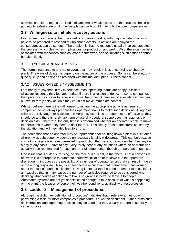activities should be restricted. Red indicates major weaknesses and the process should be put into its safest state until other people can be brought in to fulfil the core competencies.

## **3.7 Willingness to initiate recovery actions**

Even when they manage their risks well, companies dealing with major accident hazards have to be prepared to respond to unplanned events. If actions are delayed the consequences can be serious. The problem is that the response usually involves stopping the process, which clearly has implications for production and profit. Also, there can be risks associated with responses such as 'crash' shutdowns, and so initiating such actions cannot be taken lightly.

## 3.7.1 TYPICAL ARRANGEMENTS

The normal response to any major event that may result in loss of control is to shutdown plant. The ways of doing this depend on the nature of the process. Some can be shutdown quite quickly and easily; and restarted with minimal disruption. Others cannot.

#### 3.7.2 ISSUES RAISED BY ASSESSMENTS

I am happy to say that, in my experience, most operating teams are happy to initiate whatever response they feel appropriate if there is a reason to do so. In some companies the operators may prefer to receive approval from their Supervisor or equivalent if they can, but would rarely delay action if they could not make immediate contact.

Whilst I believe there is the willingness to initiate the appropriate actions as required, companies do not always prepare their operating teams to make such decisions. Diagnosis skills are rarely taught or assessed. Emergency exercises are often not as effective as they should be and there is rarely any form of useful procedural support such as diagnosis or decision aids. Therefore, the only time it is determined whether an operator is able to make the decisions is when they need to do it for real. This clearly adds to the stress caused by the situation and will inevitably lead to errors.

The perception that an operator may be reprimanded for shutting down a plant in a situation where it was subsequently deemed unnecessary is fairly widespread. This can be because it is felt managers are more interested in production than safety, based on what they say on a day to day basis. I have to say I very rarely hear of any situations where an operator has actually been reprimanded for such an error of judgement, although the perception persists.

One issue that is a little surprising, on the face of it at least, is that there is not a consensus on when it is appropriate to automate shutdown initiation or to leave it to the operators' discretion. It introduces the possibility of a number of operator errors that can result in delay or the wrong response. Also, it can lead to the accusation that management are worried about the cost of spurious initiation. Having looked at this issue on a number of occasions I am satisfied that in many cases the number of variables required to be considered when deciding what course of action to follow is so great it is better to leave it to people. Automated systems are not yet sophisticated enough to take account of what is happening on the plant, the location of personnel, weather conditions, availability of resources etc.

# **3.8 Ladder 8 – Management of procedures**

Although the dictionary definition of 'procedure' indicates that it refers to a method of performing a task, for most companies a procedure is a written document. Other terms such as 'instruction' and 'operating practice' may be used, but they usually perform essentially the same purpose.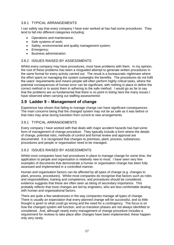## 3.8.1 TYPICAL ARRANGEMENTS

I can safely say that every company I have ever worked at has had some procedures. They tend to fall into different categories including:

- Operations and maintenance;
- Safe systems of work;
- Safety, environmental and quality management system;
- Emergency:
- Business administration.

#### 3.8.2 ISSUES RAISED BY ASSESSMENTS

Whilst every company may have procedures, most have problems with them. In my opinion, the root of these problems has been a misguided attempt to generate written procedures in the same format for every activity carried out. The result is a bureaucratic nightmare where the effort spent on managing the system outweighs the benefits. The procedures do not fulfil the users' requirements and means people will often perform highly critical tasks, where the potential consequences of human error can be significant, with nothing in place to define the correct method or to assist them in adhering to the safe method. I would go as far to say that the problems are so fundamental that there is no point in listing here the many issues I have observed when carrying out staffing assessments!

## **3.9 Ladder 9 – Management of change**

Experience has shown that failing to manage change can have significant consequences. The main concerns being that the changed system may not be as safe as it was before or that risks may arise during transition from current to new arrangements.

## 3.9.1 TYPICAL ARRANGEMENTS

Every company I have worked with that deals with major accident hazards has had some form of management of change procedure. They typically include a form where the details of change, potential risks, methods of control and formal review and approval are documented. It is recognised that changes to premises, plant, process, substances, procedures and people or organisation need to be managed.

## 3.9.2 ISSUES RAISED BY ASSESSMENTS

Whilst most companies have had procedures in place to manage change for some time, the application to people and organisation is relatively new to most. I have seen very few examples of documents that demonstrate a human or organisation change has been fully assessed and implemented in a controlled manner.

Human and organisation factors can be affected by all types of change (e.g. changes to plant, process, procedures). Whilst most companies do recognise that factors such as roles and responsibilities, training and competence, and procedures should be considered, evidence suggests that these are often seen as being of secondary importance. This probably reflects that most changes are led by engineers, who are less comfortable dealing with human and organisational factors.

There are quite a few weaknesses in the way companies manage all types of change. There is usually an expectation that every planned change will be successful, and so little thought is given to what could go wrong and the need for a contingency. The focus is on how the changed system will function, and so transition phases are not always identified or considered. And, although nearly every management of change procedure includes a requirement for reviews to take place after changes have been implemented; these happen only very rarely.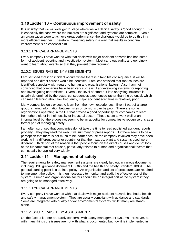# **3.10Ladder 10 – Continuous improvement of safety**

It is unlikely that we will ever get to stage where we will decide safety is 'good enough.' This is especially the case where the hazards are significant and systems are complex. Even if an organisation were to achieve great performance, the challenge would be to do this in a more efficient manner. Therefore, managing safety in a way that results in continual improvement is an essential aim.

#### 3.10.1 TYPICAL ARRANGEMENTS

Every company I have worked with that deals with major accident hazards has had some form of accident reporting and investigation system. Most carry out audits and genuinely want to learn about events so that they prevent them recurring.

#### 3.10.2 ISSUES RAISED BY ASSESSMENTS

I am satisfied that if an incident occurs where there is a tangible consequence, it will be reported and direct causes would be identified. I am less satisfied that root causes are identified, especially with regard to human and organisational factors. Also, I am not convinced that companies have been very successful at developing systems for reporting and investigating near misses. Overall, the level of effort put into analysing incidents is usually determined by the actual consequences experienced rather than the potential, which can mean learning about low frequency, major accident scenarios is relatively poor.

Many companies only expect to learn from their own experiences. Even if part of a large group, sharing information between sites or divisions can be poor. There are some organisations operating in the UK that provide a good opportunity for companies to learn from others either in their locality or industrial sector. These seem to work well at an informal level but there does not seem to be an appetite for companies to recognise this as a formal part of managing safety.

I am often surprised that companies do not take the time to read published accident reports properly. They may read the executive summary or press reports. But there seems to be a perception that there is not much to be learnt because the company involved may have been working in a different sector or country, or that the hazards, plant and systems used were different. I think part of the reason is that people focus on the direct causes and do not look at the fundamental root causes, particularly related to human and organisational factors that can usually be applied very widely.

## **3.11Ladder 11 – Management of safety**

The requirements for safety management systems are clearly laid out in various documents including HSE guidance document HSG65 and the health and safety Standard 18001. The general starting point is a defined policy. An organisation and set of procedures are required to implement the policy. It is then necessary to monitor and audit the effectiveness of the system. Human and organisational factors should be an integral part of the system if they are going to be managed effectively.

## 3.11.1 TYPICAL ARRANGEMENTS

Every company I have worked with that deals with major accident hazards has had a health and safety management system. They are usually compliant with guidance and standards. Some are integrated with quality and/or environmental systems; whilst many are standalone.

#### 3.11.2 ISSUES RAISED BY ASSESSMENTS

On the face of it there are rarely concerns with safety management systems. However, as with many things the issues are not with what is documented but how it is implemented in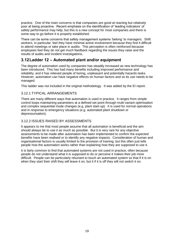practice. One of the main concerns is that companies are good at reacting but relatively poor at being proactive. Recent emphasis on the identification of 'leading indicators' of safety performance may help, but this is a new concept for most companies and there is some way to go before it is properly established.

There can be some concerns that safety management systems 'belong' to managers. Shift workers, in particular, feel they have minimal active involvement because they find it difficult to attend meetings or take place in audits. This perception is often reinforced because employees feel they do not get much feedback regarding the issues they raise and the results of audits and incident investigations.

## **3.12Ladder 12 – Automated plant and/or equipment**

The degree of automation used by companies has steadily increased as new technology has been introduced. This has had many benefits including improved performance and reliability; and it has relieved people of boring, unpleasant and potentially hazards tasks. However, automation can have negative effects on human factors and so its use needs to be managed.

This ladder was not included in the original methodology. It was added by the EI report.

## 3.12.1 TYPICAL ARRANGEMENTS

There are many different ways that automation is used in practice. It ranges from simple control loops maintaining parameters at a defined set point through multi-variant optimisation and complex sequential mode changes (e.g. plant start-up). It is used for normal operations and in response to emergency situations (e.g. automated plant shutdown or depressurisation).

## 3.12.2 ISSUES RAISED BY ASSESSMENTS

It appears to me that most people assume that all automation is beneficial and the aim should always be to use it as much as possible. But it is very rare for any objective assessments to be made after automation has been implemented to confirm the expected benefits have been realised or to identify any negative impacts. Consideration of human and organisational factors is usually limited to the provision of training, but this often just tells people how the automation works rather than explaining how they are supposed to use it.

It is fairly common to find that automated systems are not used in practice, often because people do not understand what it is supposed to do or perceive it makes their job more difficult. People can be particularly reluctant to touch an automated system so that if it is on when they start their shift they will leave it on, but it if it is off they will not switch it on.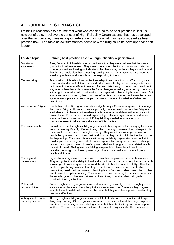# **4 CURRENT BEST PRACTICE**

I think it is reasonable to assume that what was considered to be best practice in 1999 is now out of date. I believe the concept of High Reliability Organisations, that has developed over the last decade, gives us a good reference point for what may be considered as best practice now. The table below summarises how a new top rung could be developed for each ladder

| <b>Ladder Topic</b>                         | Defining best practice based on high reliability organisations                                                                                                                                                                                                                                                                                                                                                                                                                                                                                                                                                                                                                                                                                                                                                                                        |
|---------------------------------------------|-------------------------------------------------------------------------------------------------------------------------------------------------------------------------------------------------------------------------------------------------------------------------------------------------------------------------------------------------------------------------------------------------------------------------------------------------------------------------------------------------------------------------------------------------------------------------------------------------------------------------------------------------------------------------------------------------------------------------------------------------------------------------------------------------------------------------------------------------------|
| Situational<br>awareness                    | A key feature of high reliability organisations is that they never believe that they have<br>good situational awareness. They spend more time collecting and analysing data than<br>other organisations, looking for indications that things may not be as they should be and<br>that this is an indication that something could go wrong. As a result they are better at<br>avoiding problems, and spend less time responding to them.                                                                                                                                                                                                                                                                                                                                                                                                               |
| Teamworking                                 | Teams within high reliability organisations adapt to suit the situation. When things are<br>normal and under control, teams and individuals work flexibly so that priority actions are<br>performed in the most efficient manner. People rotate through roles so that they do not<br>stagnate. When demands increase the focus changes to making sure the right person is<br>in the right place, with their position within the organisation becoming less important. But<br>in an emergency it is recognised that pre-defined team structures provide resilience, and<br>systems are in place to make sure people have an in-depth knowledge of what they<br>need to do.                                                                                                                                                                             |
| Alertness and fatigue                       | I doubt high reliability organisations have significantly different arrangements to manage<br>the risks of fatigue. However, they are probably more inclined to accept that fatigue is<br>inevitable, and to have a culture where this is recognised and dealt with effectively with<br>minimal fuss. For example, I would expect a high reliability organisation would rather<br>someone took a 'power nap' at work if they felt they needed to, whereas most<br>companies seem to take a pretty dim view of this practice.                                                                                                                                                                                                                                                                                                                          |
| Employee health                             | I would not expect a high reliability organisation to have systems for managing fitness for<br>work that are significantly different to any other company. However, I would expect this<br>issue would be perceived as a higher priority. They would acknowledge the risks of<br>people being at work below their best, and do what they can to minimise the likelihood of<br>this happening. The main difference with a high reliability organisation may be that it<br>could implement arrangements that in other organisations may be perceived as being<br>beyond the scope of the employee/employer relationship (e.g. non-work related health<br>issues). Instead of being seen as delving into people's private lives, it would be<br>perceived as a sign that the employer is genuinely concerned about its employees'<br>health and fitness. |
| Training and<br>development                 | High reliability organisations are known to train their employees far more than others.<br>They recognise that the ability to handle all situations that can occur requires an in-depth<br>knowledge of how the system works and the skills to handle unpredictability. Also, they<br>rotate people through roles so that they do not become stale or complacent, which<br>means they need continual training. Anything learnt from an incident, near miss or other<br>event is used to update training. They value expertise, deferring to the person who has<br>the knowledge or skill required at any particular time, no matter what their grade or<br>position in the organisation.                                                                                                                                                              |
| Roles and<br>responsibilities               | Roles in high reliability organisations tend to adapt dynamically so that the right people<br>are always in place to address the priority issues at any time. There is a high degree of<br>trust that people will do what needs to be done; but they are also supported so that they<br>can work effectively.                                                                                                                                                                                                                                                                                                                                                                                                                                                                                                                                         |
| Willingness to initiate<br>recovery actions | Although high reliability organisations put a lot of effort into prevention, they still expect<br>things to go wrong. Other organisations seem to be more satisfied that they can prevent<br>events and see emergencies as being so rare that there is little they can do to prepare<br>for them. This is a fundamental, cultural difference that significantly affects resilience.                                                                                                                                                                                                                                                                                                                                                                                                                                                                   |